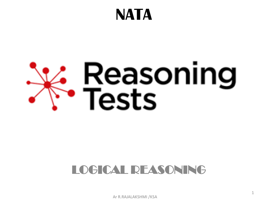# **NATA**

# <mark>≮. Reasoning</mark><br>、Fests

# LOGICAL REASONING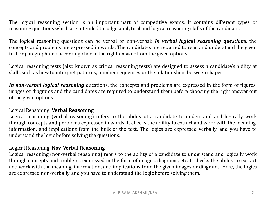The logical reasoning section is an important part of competitive exams. It contains different types of reasoning questions which are intended to judge analytical and logical reasoning skills of the candidate.

The logical reasoning questions can be verbal or non-verbal: *In verbal logical reasoning questions*, the concepts and problems are expressed in words. The candidates are required to read and understand the given text or paragraph and according choose the right answer from the given options.

Logical reasoning tests (also known as critical reasoning tests) are designed to assess a candidate's ability at skills such as how to interpret patterns, number sequences or the relationships between shapes.

*In non-verbal logical reasoning* questions, the concepts and problems are expressed in the form of figures, images or diagrams and the candidates are required to understand them before choosing the right answer out of the given options.

#### Logical Reasoning: **Verbal Reasoning**

Logical reasoning (verbal reasoning) refers to the ability of a candidate to understand and logically work through concepts and problems expressed in words. It checks the ability to extract and work with the meaning, information, and implications from the bulk of the text. The logics are expressed verbally, and you have to understand the logic before solving the questions.

#### Logical Reasoning: **Nov-Verbal Reasoning**

Logical reasoning (non-verbal reasoning) refers to the ability of a candidate to understand and logically work through concepts and problems expressed in the form of images, diagrams, etc. It checks the ability to extract and work with the meaning, information, and implications from the given images or diagrams. Here, the logics are expressed non-verbally, and you have to understand the logic before solving them.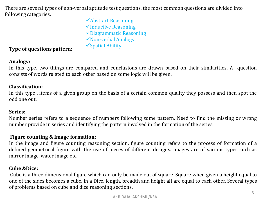There are several types of non-verbal aptitude test questions, the most common questions are divided into following categories:

> Abstract Reasoning  $\checkmark$ Inductive Reasoning Diagrammatic Reasoning Non-verbal Analogy

## Spatial Ability **Type of questions pattern:**

## **Analogy:**

In this type, two things are compared and conclusions are drawn based on their similarities. A question consists of words related to each other based on some logic will be given.

#### **Classification:**

In this type , items of a given group on the basis of a certain common quality they possess and then spot the odd one out.

#### **Series:**

Number series refers to a sequence of numbers following some pattern. Need to find the missing or wrong number provide in series and identifying the pattern involved in the formation of the series.

#### **Figure counting & Image formation:**

In the image and figure counting reasoning section, figure counting refers to the process of formation of a defined geometrical figure with the use of pieces of different designs. Images are of various types such as mirror image, water image etc.

#### **Cube &Dice:**

Cube is a three dimensional figure which can only be made out of square. Square when given a height equal to one of the sides becomes a cube. In a Dice, length, breadth and height all are equal to each other. Several types of problems based on cube and dice reasoning sections.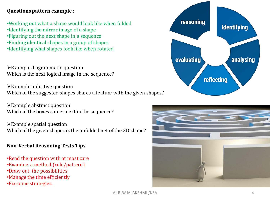## **Questions pattern example :**

- •Working out what a shape would look like when folded
- •Identifying the mirror image of a shape
- •Figuring out the next shape in a sequence
- •Finding identical shapes in a group of shapes
- •Identifying what shapes look like when rotated

 $\triangleright$  Example diagrammatic question Which is the next logical image in the sequence?

Example inductive question Which of the suggested shapes shares a feature with the given shapes?

 $\triangleright$  Example abstract question Which of the boxes comes next in the sequence?

 $\triangleright$  Example spatial question Which of the given shapes is the unfolded net of the 3D shape?

## **Non-Verbal Reasoning Tests Tips**

- •Read the question with at most care
- •Examine a method (rule/pattern)
- •Draw out the possibilities
- •Manage the time efficiently
- •Fix some strategies.



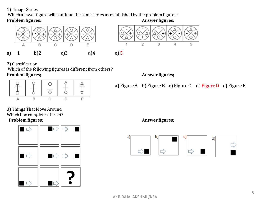#### 1) Image Series

Which answer figure will continue the same series as established by the problem figures?

#### **Problem figures; Answer figures; Answer figures;**





2) Classification

Which of the following figures is different from others? **Problem figures; Answer figures; Answer figures;** 



a) Figure A b) Figure B c) Figure C d) Figure D e) Figure E

3) Things That Move Around Which box completes the set? **Problem figures; Answer figures; Answer figures;**